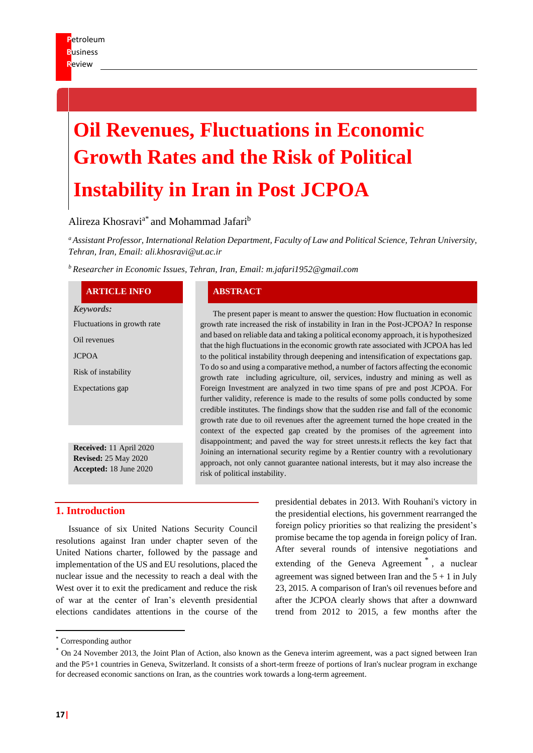# **Oil Revenues, Fluctuations in Economic Growth Rates and the Risk of Political Instability in Iran in Post JCPOA**

# Alireza Khosravi<sup>a\*</sup> and Mohammad Jafari<sup>b</sup>

*<sup>a</sup>Assistant Professor, International Relation Department, Faculty of Law and Political Science, Tehran University, Tehran, Iran, Email: ali.khosravi@ut.ac.ir*

*<sup>b</sup> Researcher in Economic Issues, Tehran, Iran, Email: m.jafari1952@gmail.com*

#### **ARTICLE INFO ABSTRACT**

*Keywords:* Fluctuations in growth rate Oil revenues JCPOA Risk of instability Expectations gap **Received:** 11 April 2020

**Revised:** 25 May 2020 **Accepted:** 18 June 2020

The present paper is meant to answer the question: How fluctuation in economic growth rate increased the risk of instability in Iran in the Post-JCPOA? In response and based on reliable data and taking a political economy approach, it is hypothesized that the high fluctuations in the economic growth rate associated with JCPOA has led to the political instability through deepening and intensification of expectations gap. To do so and using a comparative method, a number of factors affecting the economic growth rate including agriculture, oil, services, industry and mining as well as Foreign Investment are analyzed in two time spans of pre and post JCPOA. For further validity, reference is made to the results of some polls conducted by some credible institutes. The findings show that the sudden rise and fall of the economic growth rate due to oil revenues after the agreement turned the hope created in the context of the expected gap created by the promises of the agreement into disappointment; and paved the way for street unrests.it reflects the key fact that Joining an international security regime by a Rentier country with a revolutionary approach, not only cannot guarantee national interests, but it may also increase the risk of political instability.

## **1. Introduction**

Issuance of six United Nations Security Council resolutions against Iran under chapter seven of the United Nations charter, followed by the passage and implementation of the US and EU resolutions, placed the nuclear issue and the necessity to reach a deal with the West over it to exit the predicament and reduce the risk of war at the center of Iran's eleventh presidential elections candidates attentions in the course of the presidential debates in 2013. With Rouhani's victory in the presidential elections, his government rearranged the foreign policy priorities so that realizing the president's promise became the top agenda in foreign policy of Iran. After several rounds of intensive negotiations and extending of the Geneva Agreement<sup>\*</sup>, a nuclear agreement was signed between Iran and the  $5 + 1$  in July 23, 2015. A comparison of Iran's oil revenues before and after the JCPOA clearly shows that after a downward trend from 2012 to 2015, a few months after the

<sup>\*</sup> Corresponding author

<sup>\*</sup> On 24 November 2013, the Joint Plan of Action, also known as the Geneva interim agreement, was a pact signed between Iran and the P5+1 countries in Geneva, Switzerland. It consists of a short-term freeze of portions of Iran's nuclear program in exchange for decreased economic sanctions on Iran, as the countries work towards a long-term agreement.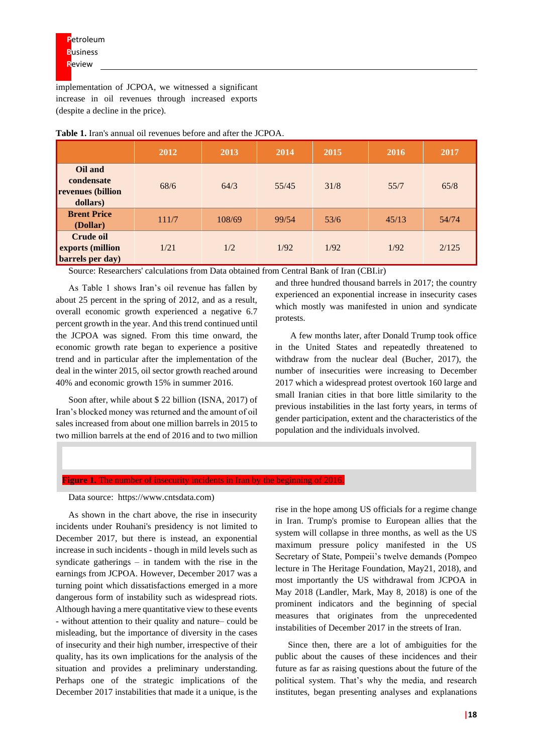implementation of JCPOA, we witnessed a significant increase in oil revenues through increased exports (despite a decline in the price).

|                                                               | 2012  | 2013   | 2014  | 2015 | 2016  | 2017  |
|---------------------------------------------------------------|-------|--------|-------|------|-------|-------|
| Oil and<br>condensate<br><b>revenues</b> (billion<br>dollars) | 68/6  | 64/3   | 55/45 | 31/8 | 55/7  | 65/8  |
| <b>Brent Price</b><br>(Dollar)                                | 111/7 | 108/69 | 99/54 | 53/6 | 45/13 | 54/74 |
| <b>Crude oil</b><br>exports (million<br>barrels per day)      | 1/21  | 1/2    | 1/92  | 1/92 | 1/92  | 2/125 |

**Table 1.** Iran's annual oil revenues before and after the JCPOA.

Source: Researchers' calculations from Data obtained from Central Bank of Iran (CBI.ir)

As Table 1 shows Iran's oil revenue has fallen by about 25 percent in the spring of 2012, and as a result, overall economic growth experienced a negative 6.7 percent growth in the year. And this trend continued until the JCPOA was signed. From this time onward, the economic growth rate began to experience a positive trend and in particular after the implementation of the deal in the winter 2015, oil sector growth reached around 40% and economic growth 15% in summer 2016.

Soon after, while about \$ 22 billion (ISNA, 2017) of Iran's blocked money was returned and the amount of oil sales increased from about one million barrels in 2015 to two million barrels at the end of 2016 and to two million

and three hundred thousand barrels in 2017; the country experienced an exponential increase in insecurity cases which mostly was manifested in union and syndicate protests.

A few months later, after Donald Trump took office in the United States and repeatedly threatened to withdraw from the nuclear deal (Bucher, 2017), the number of insecurities were increasing to December 2017 which a widespread protest overtook 160 large and small Iranian cities in that bore little similarity to the previous instabilities in the last forty years, in terms of gender participation, extent and the characteristics of the population and the individuals involved.

#### **Figure 1.** The number of insecurity incidents in Iran by the beginning of 2016.

Data source: https://www.cntsdata.com)

As shown in the chart above, the rise in insecurity incidents under Rouhani's presidency is not limited to December 2017, but there is instead, an exponential increase in such incidents - though in mild levels such as syndicate gatherings – in tandem with the rise in the earnings from JCPOA. However, December 2017 was a turning point which dissatisfactions emerged in a more dangerous form of instability such as widespread riots. Although having a mere quantitative view to these events - without attention to their quality and nature– could be misleading, but the importance of diversity in the cases of insecurity and their high number, irrespective of their quality, has its own implications for the analysis of the situation and provides a preliminary understanding. Perhaps one of the strategic implications of the December 2017 instabilities that made it a unique, is the

rise in the hope among US officials for a regime change in Iran. Trump's promise to European allies that the system will collapse in three months, as well as the US maximum pressure policy manifested in the US Secretary of State, Pompeii's twelve demands (Pompeo lecture in The Heritage Foundation, May21, 2018), and most importantly the US withdrawal from JCPOA in May 2018 (Landler, Mark, May 8, 2018) is one of the prominent indicators and the beginning of special measures that originates from the unprecedented instabilities of December 2017 in the streets of Iran.

Since then, there are a lot of ambiguities for the public about the causes of these incidences and their future as far as raising questions about the future of the political system. That's why the media, and research institutes, began presenting analyses and explanations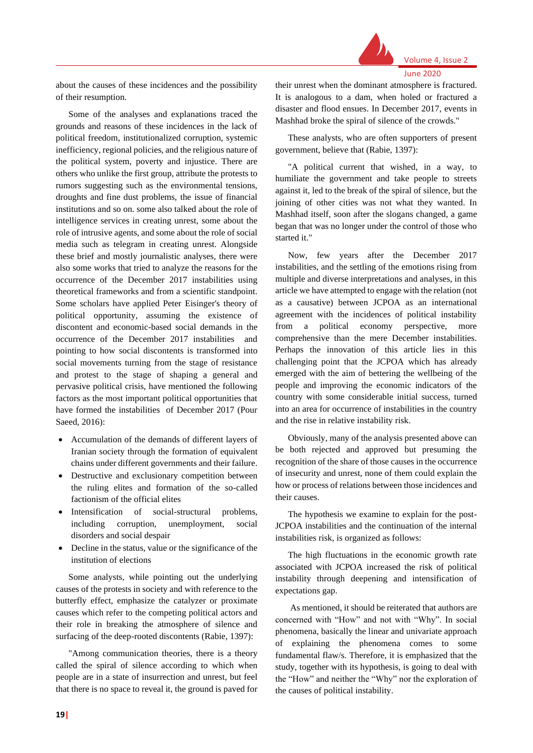

June 2020

about the causes of these incidences and the possibility of their resumption.

Some of the analyses and explanations traced the grounds and reasons of these incidences in the lack of political freedom, institutionalized corruption, systemic inefficiency, regional policies, and the religious nature of the political system, poverty and injustice. There are others who unlike the first group, attribute the protests to rumors suggesting such as the environmental tensions, droughts and fine dust problems, the issue of financial institutions and so on. some also talked about the role of intelligence services in creating unrest, some about the role of intrusive agents, and some about the role of social media such as telegram in creating unrest. Alongside these brief and mostly journalistic analyses, there were also some works that tried to analyze the reasons for the occurrence of the December 2017 instabilities using theoretical frameworks and from a scientific standpoint. Some scholars have applied Peter Eisinger's theory of political opportunity, assuming the existence of discontent and economic-based social demands in the occurrence of the December 2017 instabilities and pointing to how social discontents is transformed into social movements turning from the stage of resistance and protest to the stage of shaping a general and pervasive political crisis, have mentioned the following factors as the most important political opportunities that have formed the instabilities of December 2017 (Pour Saeed, 2016):

- Accumulation of the demands of different layers of Iranian society through the formation of equivalent chains under different governments and their failure.
- Destructive and exclusionary competition between the ruling elites and formation of the so-called factionism of the official elites
- Intensification of social-structural problems, including corruption, unemployment, social disorders and social despair
- Decline in the status, value or the significance of the institution of elections

Some analysts, while pointing out the underlying causes of the protests in society and with reference to the butterfly effect, emphasize the catalyzer or proximate causes which refer to the competing political actors and their role in breaking the atmosphere of silence and surfacing of the deep-rooted discontents (Rabie, 1397):

"Among communication theories, there is a theory called the spiral of silence according to which when people are in a state of insurrection and unrest, but feel that there is no space to reveal it, the ground is paved for their unrest when the dominant atmosphere is fractured. It is analogous to a dam, when holed or fractured a disaster and flood ensues. In December 2017, events in Mashhad broke the spiral of silence of the crowds."

These analysts, who are often supporters of present government, believe that (Rabie, 1397):

"A political current that wished, in a way, to humiliate the government and take people to streets against it, led to the break of the spiral of silence, but the joining of other cities was not what they wanted. In Mashhad itself, soon after the slogans changed, a game began that was no longer under the control of those who started it."

Now, few years after the December 2017 instabilities, and the settling of the emotions rising from multiple and diverse interpretations and analyses, in this article we have attempted to engage with the relation (not as a causative) between JCPOA as an international agreement with the incidences of political instability from a political economy perspective, more comprehensive than the mere December instabilities. Perhaps the innovation of this article lies in this challenging point that the JCPOA which has already emerged with the aim of bettering the wellbeing of the people and improving the economic indicators of the country with some considerable initial success, turned into an area for occurrence of instabilities in the country and the rise in relative instability risk.

Obviously, many of the analysis presented above can be both rejected and approved but presuming the recognition of the share of those causes in the occurrence of insecurity and unrest, none of them could explain the how or process of relations between those incidences and their causes.

The hypothesis we examine to explain for the post-JCPOA instabilities and the continuation of the internal instabilities risk, is organized as follows:

The high fluctuations in the economic growth rate associated with JCPOA increased the risk of political instability through deepening and intensification of expectations gap.

As mentioned, it should be reiterated that authors are concerned with "How" and not with "Why". In social phenomena, basically the linear and univariate approach of explaining the phenomena comes to some fundamental flaw/s. Therefore, it is emphasized that the study, together with its hypothesis, is going to deal with the "How" and neither the "Why" nor the exploration of the causes of political instability.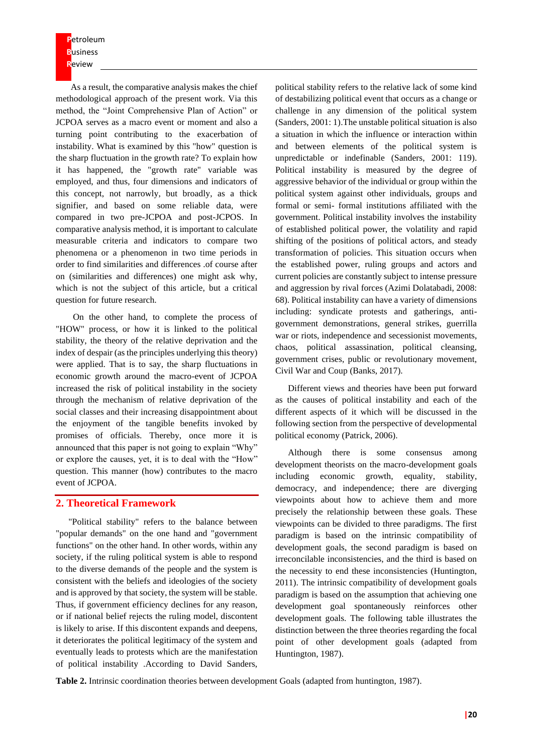**P**etroleum **B**usiness **R**eview

As a result, the comparative analysis makes the chief methodological approach of the present work. Via this method, the "Joint Comprehensive Plan of Action" or JCPOA serves as a macro event or moment and also a turning point contributing to the exacerbation of instability. What is examined by this "how" question is the sharp fluctuation in the growth rate? To explain how it has happened, the "growth rate" variable was employed, and thus, four dimensions and indicators of this concept, not narrowly, but broadly, as a thick signifier, and based on some reliable data, were compared in two pre-JCPOA and post-JCPOS. In comparative analysis method, it is important to calculate measurable criteria and indicators to compare two phenomena or a phenomenon in two time periods in order to find similarities and differences .of course after on (similarities and differences) one might ask why, which is not the subject of this article, but a critical question for future research.

 On the other hand, to complete the process of "HOW" process, or how it is linked to the political stability, the theory of the relative deprivation and the index of despair (as the principles underlying this theory) were applied. That is to say, the sharp fluctuations in economic growth around the macro-event of JCPOA increased the risk of political instability in the society through the mechanism of relative deprivation of the social classes and their increasing disappointment about the enjoyment of the tangible benefits invoked by promises of officials. Thereby, once more it is announced that this paper is not going to explain "Why" or explore the causes, yet, it is to deal with the "How" question. This manner (how) contributes to the macro event of JCPOA.

## **2. Theoretical Framework**

"Political stability" refers to the balance between "popular demands" on the one hand and "government functions" on the other hand. In other words, within any society, if the ruling political system is able to respond to the diverse demands of the people and the system is consistent with the beliefs and ideologies of the society and is approved by that society, the system will be stable. Thus, if government efficiency declines for any reason, or if national belief rejects the ruling model, discontent is likely to arise. If this discontent expands and deepens, it deteriorates the political legitimacy of the system and eventually leads to protests which are the manifestation of political instability .According to David Sanders,

political stability refers to the relative lack of some kind of destabilizing political event that occurs as a change or challenge in any dimension of the political system (Sanders, 2001: 1).The unstable political situation is also a situation in which the influence or interaction within and between elements of the political system is unpredictable or indefinable (Sanders, 2001: 119). Political instability is measured by the degree of aggressive behavior of the individual or group within the political system against other individuals, groups and formal or semi- formal institutions affiliated with the government. Political instability involves the instability of established political power, the volatility and rapid shifting of the positions of political actors, and steady transformation of policies. This situation occurs when the established power, ruling groups and actors and current policies are constantly subject to intense pressure and aggression by rival forces (Azimi Dolatabadi, 2008: 68). Political instability can have a variety of dimensions including: syndicate protests and gatherings, antigovernment demonstrations, general strikes, guerrilla war or riots, independence and secessionist movements, chaos, political assassination, political cleansing, government crises, public or revolutionary movement, Civil War and Coup (Banks, 2017).

Different views and theories have been put forward as the causes of political instability and each of the different aspects of it which will be discussed in the following section from the perspective of developmental political economy (Patrick, 2006).

Although there is some consensus among development theorists on the macro-development goals including economic growth, equality, stability, democracy, and independence; there are diverging viewpoints about how to achieve them and more precisely the relationship between these goals. These viewpoints can be divided to three paradigms. The first paradigm is based on the intrinsic compatibility of development goals, the second paradigm is based on irreconcilable inconsistencies, and the third is based on the necessity to end these inconsistencies (Huntington, 2011). The intrinsic compatibility of development goals paradigm is based on the assumption that achieving one development goal spontaneously reinforces other development goals. The following table illustrates the distinction between the three theories regarding the focal point of other development goals (adapted from Huntington, 1987).

**Table 2.** Intrinsic coordination theories between development Goals (adapted from huntington, 1987).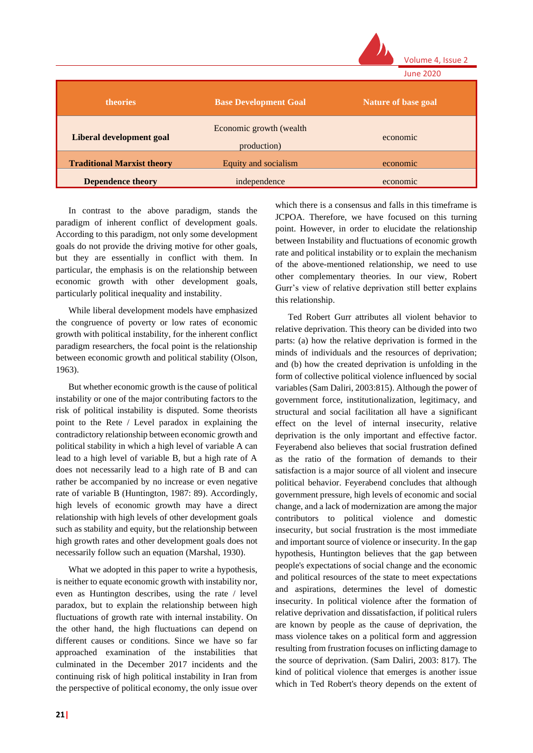|                                   |                                         | Volume 4, Issue 2          |
|-----------------------------------|-----------------------------------------|----------------------------|
|                                   |                                         | <b>June 2020</b>           |
| theories                          | <b>Base Development Goal</b>            | <b>Nature of base goal</b> |
| Liberal development goal          | Economic growth (wealth)<br>production) | economic                   |
| <b>Traditional Marxist theory</b> | Equity and socialism                    | economic                   |
| <b>Dependence theory</b>          | independence                            | economic                   |

In contrast to the above paradigm, stands the paradigm of inherent conflict of development goals. According to this paradigm, not only some development goals do not provide the driving motive for other goals, but they are essentially in conflict with them. In particular, the emphasis is on the relationship between economic growth with other development goals, particularly political inequality and instability.

While liberal development models have emphasized the congruence of poverty or low rates of economic growth with political instability, for the inherent conflict paradigm researchers, the focal point is the relationship between economic growth and political stability (Olson, 1963).

But whether economic growth is the cause of political instability or one of the major contributing factors to the risk of political instability is disputed. Some theorists point to the Rete / Level paradox in explaining the contradictory relationship between economic growth and political stability in which a high level of variable A can lead to a high level of variable B, but a high rate of A does not necessarily lead to a high rate of B and can rather be accompanied by no increase or even negative rate of variable B (Huntington, 1987: 89). Accordingly, high levels of economic growth may have a direct relationship with high levels of other development goals such as stability and equity, but the relationship between high growth rates and other development goals does not necessarily follow such an equation (Marshal, 1930).

What we adopted in this paper to write a hypothesis, is neither to equate economic growth with instability nor, even as Huntington describes, using the rate / level paradox, but to explain the relationship between high fluctuations of growth rate with internal instability. On the other hand, the high fluctuations can depend on different causes or conditions. Since we have so far approached examination of the instabilities that culminated in the December 2017 incidents and the continuing risk of high political instability in Iran from the perspective of political economy, the only issue over which there is a consensus and falls in this timeframe is JCPOA. Therefore, we have focused on this turning point. However, in order to elucidate the relationship between Instability and fluctuations of economic growth rate and political instability or to explain the mechanism of the above-mentioned relationship, we need to use other complementary theories. In our view, Robert Gurr's view of relative deprivation still better explains this relationship.

Ted Robert Gurr attributes all violent behavior to relative deprivation. This theory can be divided into two parts: (a) how the relative deprivation is formed in the minds of individuals and the resources of deprivation; and (b) how the created deprivation is unfolding in the form of collective political violence influenced by social variables (Sam Daliri, 2003:815). Although the power of government force, institutionalization, legitimacy, and structural and social facilitation all have a significant effect on the level of internal insecurity, relative deprivation is the only important and effective factor. Feyerabend also believes that social frustration defined as the ratio of the formation of demands to their satisfaction is a major source of all violent and insecure political behavior. Feyerabend concludes that although government pressure, high levels of economic and social change, and a lack of modernization are among the major contributors to political violence and domestic insecurity, but social frustration is the most immediate and important source of violence or insecurity. In the gap hypothesis, Huntington believes that the gap between people's expectations of social change and the economic and political resources of the state to meet expectations and aspirations, determines the level of domestic insecurity. In political violence after the formation of relative deprivation and dissatisfaction, if political rulers are known by people as the cause of deprivation, the mass violence takes on a political form and aggression resulting from frustration focuses on inflicting damage to the source of deprivation. (Sam Daliri, 2003: 817). The kind of political violence that emerges is another issue which in Ted Robert's theory depends on the extent of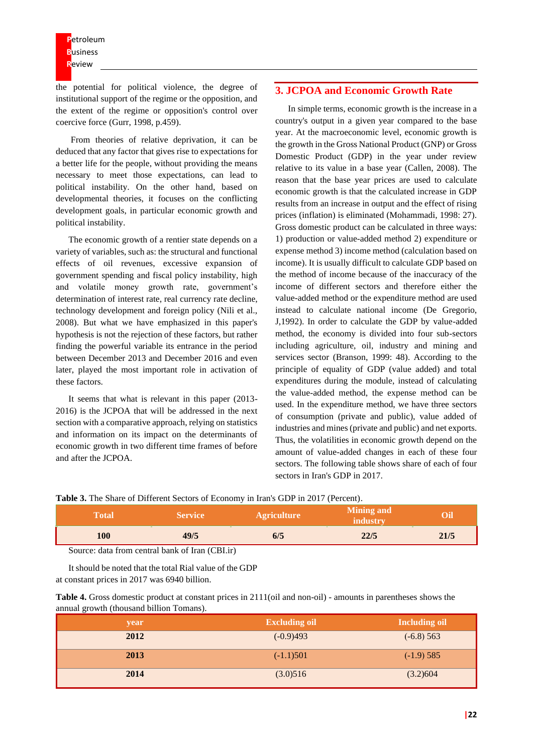the potential for political violence, the degree of institutional support of the regime or the opposition, and the extent of the regime or opposition's control over coercive force (Gurr, 1998, p.459).

From theories of relative deprivation, it can be deduced that any factor that gives rise to expectations for a better life for the people, without providing the means necessary to meet those expectations, can lead to political instability. On the other hand, based on developmental theories, it focuses on the conflicting development goals, in particular economic growth and political instability.

The economic growth of a rentier state depends on a variety of variables, such as: the structural and functional effects of oil revenues, excessive expansion of government spending and fiscal policy instability, high and volatile money growth rate, government's determination of interest rate, real currency rate decline, technology development and foreign policy (Nili et al., 2008). But what we have emphasized in this paper's hypothesis is not the rejection of these factors, but rather finding the powerful variable its entrance in the period between December 2013 and December 2016 and even later, played the most important role in activation of these factors.

It seems that what is relevant in this paper (2013- 2016) is the JCPOA that will be addressed in the next section with a comparative approach, relying on statistics and information on its impact on the determinants of economic growth in two different time frames of before and after the JCPOA.

## **3. JCPOA and Economic Growth Rate**

In simple terms, economic growth is the increase in a country's output in a given year compared to the base year. At the macroeconomic level, economic growth is the growth in the Gross National Product (GNP) or Gross Domestic Product (GDP) in the year under review relative to its value in a base year (Callen, 2008). The reason that the base year prices are used to calculate economic growth is that the calculated increase in GDP results from an increase in output and the effect of rising prices (inflation) is eliminated (Mohammadi, 1998: 27). Gross domestic product can be calculated in three ways: 1) production or value-added method 2) expenditure or expense method 3) income method (calculation based on income). It is usually difficult to calculate GDP based on the method of income because of the inaccuracy of the income of different sectors and therefore either the value-added method or the expenditure method are used instead to calculate national income (De Gregorio, J,1992). In order to calculate the GDP by value-added method, the economy is divided into four sub-sectors including agriculture, oil, industry and mining and services sector (Branson, 1999: 48). According to the principle of equality of GDP (value added) and total expenditures during the module, instead of calculating the value-added method, the expense method can be used. In the expenditure method, we have three sectors of consumption (private and public), value added of industries and mines (private and public) and net exports. Thus, the volatilities in economic growth depend on the amount of value-added changes in each of these four sectors. The following table shows share of each of four sectors in Iran's GDP in 2017.

**Table 3.** The Share of Different Sectors of Economy in Iran's GDP in 2017 (Percent).

| Total | Service | <b>Agriculture</b> | <b>Mining and</b><br>industry |      |
|-------|---------|--------------------|-------------------------------|------|
| 100   | 49/5    | IJЕ                | 22/5                          | 21/5 |

Source: data from central bank of Iran (CBI.ir)

It should be noted that the total Rial value of the GDP at constant prices in 2017 was 6940 billion.

| <b>Table 4.</b> Gross domestic product at constant prices in 2111(oil and non-oil) - amounts in parentheses shows the |  |
|-----------------------------------------------------------------------------------------------------------------------|--|
| annual growth (thousand billion Tomans).                                                                              |  |

| year | <b>Excluding oil</b> | <b>Including oil</b> |
|------|----------------------|----------------------|
| 2012 | $(-0.9)493$          | $(-6.8) 563$         |
| 2013 | $(-1.1)501$          | $(-1.9)$ 585         |
| 2014 | (3.0)516             | (3.2)604             |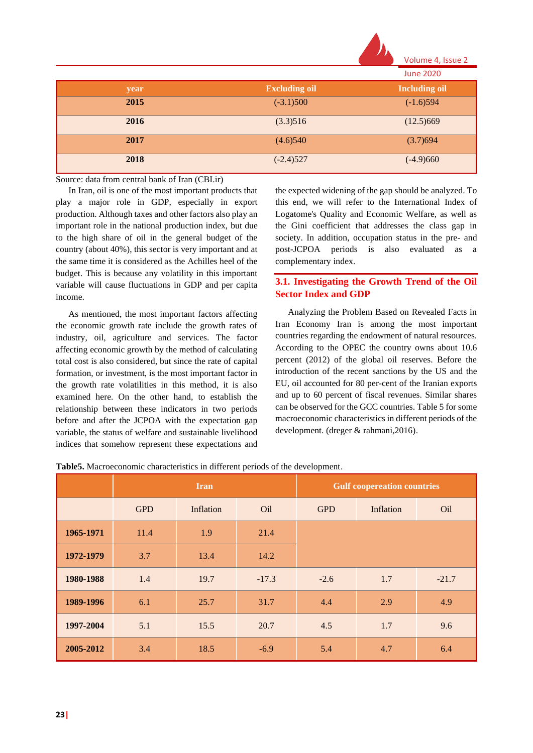

|      |                      | <b>June 2020</b>     |
|------|----------------------|----------------------|
| year | <b>Excluding oil</b> | <b>Including oil</b> |
| 2015 | $(-3.1)500$          | $(-1.6)594$          |
| 2016 | (3.3)516             | (12.5)669            |
| 2017 | (4.6)540             | (3.7)694             |
| 2018 | $(-2.4)527$          | $(-4.9)660$          |

Source: data from central bank of Iran (CBI.ir)

In Iran, oil is one of the most important products that play a major role in GDP, especially in export production. Although taxes and other factors also play an important role in the national production index, but due to the high share of oil in the general budget of the country (about 40%), this sector is very important and at the same time it is considered as the Achilles heel of the budget. This is because any volatility in this important variable will cause fluctuations in GDP and per capita income.

As mentioned, the most important factors affecting the economic growth rate include the growth rates of industry, oil, agriculture and services. The factor affecting economic growth by the method of calculating total cost is also considered, but since the rate of capital formation, or investment, is the most important factor in the growth rate volatilities in this method, it is also examined here. On the other hand, to establish the relationship between these indicators in two periods before and after the JCPOA with the expectation gap variable, the status of welfare and sustainable livelihood indices that somehow represent these expectations and the expected widening of the gap should be analyzed. To this end, we will refer to the International Index of Logatome's Quality and Economic Welfare, as well as the Gini coefficient that addresses the class gap in society. In addition, occupation status in the pre- and post-JCPOA periods is also evaluated as a complementary index.

# **3.1. Investigating the Growth Trend of the Oil Sector Index and GDP**

Analyzing the Problem Based on Revealed Facts in Iran Economy Iran is among the most important countries regarding the endowment of natural resources. According to the OPEC the country owns about 10.6 percent (2012) of the global oil reserves. Before the introduction of the recent sanctions by the US and the EU, oil accounted for 80 per-cent of the Iranian exports and up to 60 percent of fiscal revenues. Similar shares can be observed for the GCC countries. Table 5 for some macroeconomic characteristics in different periods of the development. (dreger & rahmani,2016).

|           | <b>Iran</b> |           |         | <b>Gulf coopereation countries</b> |           |         |
|-----------|-------------|-----------|---------|------------------------------------|-----------|---------|
|           | <b>GPD</b>  | Inflation | Oil     | <b>GPD</b>                         | Inflation | Oil     |
| 1965-1971 | 11.4        | 1.9       | 21.4    |                                    |           |         |
| 1972-1979 | 3.7         | 13.4      | 14.2    |                                    |           |         |
| 1980-1988 | 1.4         | 19.7      | $-17.3$ | $-2.6$                             | 1.7       | $-21.7$ |
| 1989-1996 | 6.1         | 25.7      | 31.7    | 4.4                                | 2.9       | 4.9     |
| 1997-2004 | 5.1         | 15.5      | 20.7    | 4.5                                | 1.7       | 9.6     |
| 2005-2012 | 3.4         | 18.5      | $-6.9$  | 5.4                                | 4.7       | 6.4     |

**Table5.** Macroeconomic characteristics in different periods of the development.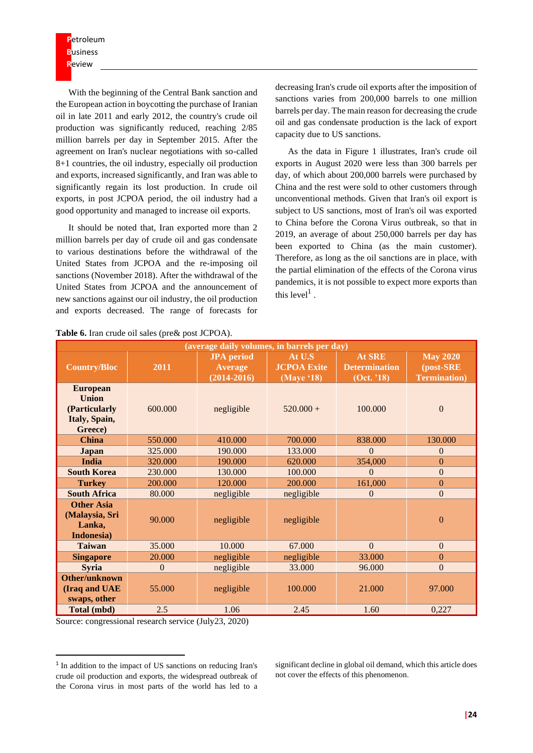**P**etroleum **B**usiness **R**eview

With the beginning of the Central Bank sanction and the European action in boycotting the purchase of Iranian oil in late 2011 and early 2012, the country's crude oil production was significantly reduced, reaching 2/85 million barrels per day in September 2015. After the agreement on Iran's nuclear negotiations with so-called 8+1 countries, the oil industry, especially oil production and exports, increased significantly, and Iran was able to significantly regain its lost production. In crude oil exports, in post JCPOA period, the oil industry had a good opportunity and managed to increase oil exports.

It should be noted that, Iran exported more than 2 million barrels per day of crude oil and gas condensate to various destinations before the withdrawal of the United States from JCPOA and the re-imposing oil sanctions (November 2018). After the withdrawal of the United States from JCPOA and the announcement of new sanctions against our oil industry, the oil production and exports decreased. The range of forecasts for decreasing Iran's crude oil exports after the imposition of sanctions varies from 200,000 barrels to one million barrels per day. The main reason for decreasing the crude oil and gas condensate production is the lack of export capacity due to US sanctions.

As the data in Figure 1 illustrates, Iran's crude oil exports in August 2020 were less than 300 barrels per day, of which about 200,000 barrels were purchased by China and the rest were sold to other customers through unconventional methods. Given that Iran's oil export is subject to US sanctions, most of Iran's oil was exported to China before the Corona Virus outbreak, so that in 2019, an average of about 250,000 barrels per day has been exported to China (as the main customer). Therefore, as long as the oil sanctions are in place, with the partial elimination of the effects of the Corona virus pandemics, it is not possible to expect more exports than this  $level<sup>1</sup>$ .

| (average daily volumes, in barrels per day)                                  |          |                                                        |                                            |                                                     |                                                      |  |  |
|------------------------------------------------------------------------------|----------|--------------------------------------------------------|--------------------------------------------|-----------------------------------------------------|------------------------------------------------------|--|--|
| <b>Country/Bloc</b>                                                          | 2011     | <b>JPA</b> period<br><b>Average</b><br>$(2014 - 2016)$ | At U.S<br><b>JCPOA Exite</b><br>(Maye '18) | <b>At SRE</b><br><b>Determination</b><br>(Oct. '18) | <b>May 2020</b><br>(post-SRE<br><b>Termination</b> ) |  |  |
| <b>European</b><br><b>Union</b><br>(Particularly<br>Italy, Spain,<br>Greece) | 600.000  | negligible                                             | $520.000 +$                                | 100.000                                             | $\overline{0}$                                       |  |  |
| <b>China</b>                                                                 | 550.000  | 410.000                                                | 700.000                                    | 838.000                                             | 130.000                                              |  |  |
| <b>Japan</b>                                                                 | 325.000  | 190.000                                                | 133.000                                    | $\Omega$                                            | $\theta$                                             |  |  |
| India                                                                        | 320.000  | 190.000                                                | 620.000                                    | 354,000                                             | $\Omega$                                             |  |  |
| <b>South Korea</b>                                                           | 230,000  | 130,000                                                | 100.000                                    | $\theta$                                            | $\Omega$                                             |  |  |
| <b>Turkey</b>                                                                | 200,000  | 120.000                                                | 200,000                                    | 161,000                                             | $\theta$                                             |  |  |
| <b>South Africa</b>                                                          | 80.000   | negligible                                             | negligible                                 | $\mathbf{0}$                                        | $\mathbf{0}$                                         |  |  |
| <b>Other Asia</b><br>(Malaysia, Sri<br>Lanka,<br>Indonesia)                  | 90,000   | negligible                                             | negligible                                 |                                                     | $\theta$                                             |  |  |
| <b>Taiwan</b>                                                                | 35.000   | 10.000                                                 | 67.000                                     | $\Omega$                                            | $\mathbf{0}$                                         |  |  |
| <b>Singapore</b>                                                             | 20.000   | negligible                                             | negligible                                 | 33.000                                              | $\theta$                                             |  |  |
| <b>Syria</b>                                                                 | $\theta$ | negligible                                             | 33,000                                     | 96.000                                              | $\Omega$                                             |  |  |
| Other/unknown<br>(Iraq and UAE<br>swaps, other                               | 55,000   | negligible                                             | 100.000                                    | 21.000                                              | 97.000                                               |  |  |
| Total (mbd)                                                                  | 2.5      | 1.06                                                   | 2.45                                       | 1.60                                                | 0,227                                                |  |  |

**Table 6.** Iran crude oil sales (pre& post JCPOA).

Source: congressional research service (July23, 2020)

significant decline in global oil demand, which this article does not cover the effects of this phenomenon .

<sup>&</sup>lt;sup>1</sup> In addition to the impact of US sanctions on reducing Iran's crude oil production and exports, the widespread outbreak of the Corona virus in most parts of the world has led to a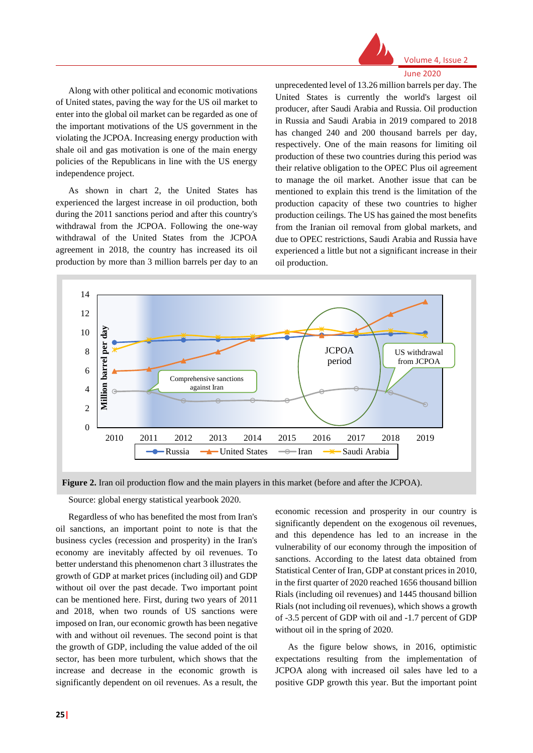

June 2020

Along with other political and economic motivations of United states, paving the way for the US oil market to enter into the global oil market can be regarded as one of the important motivations of the US government in the violating the JCPOA. Increasing energy production with shale oil and gas motivation is one of the main energy policies of the Republicans in line with the US energy independence project.

As shown in chart 2, the United States has experienced the largest increase in oil production, both during the 2011 sanctions period and after this country's withdrawal from the JCPOA. Following the one-way withdrawal of the United States from the JCPOA agreement in 2018, the country has increased its oil production by more than 3 million barrels per day to an unprecedented level of 13.26 million barrels per day. The United States is currently the world's largest oil producer, after Saudi Arabia and Russia. Oil production in Russia and Saudi Arabia in 2019 compared to 2018 has changed 240 and 200 thousand barrels per day, respectively. One of the main reasons for limiting oil production of these two countries during this period was their relative obligation to the OPEC Plus oil agreement to manage the oil market. Another issue that can be mentioned to explain this trend is the limitation of the production capacity of these two countries to higher production ceilings. The US has gained the most benefits from the Iranian oil removal from global markets, and due to OPEC restrictions, Saudi Arabia and Russia have experienced a little but not a significant increase in their oil production.



**Figure 2.** Iran oil production flow and the main players in this market (before and after the JCPOA).

Source: global energy statistical yearbook 2020.

Regardless of who has benefited the most from Iran's oil sanctions, an important point to note is that the business cycles (recession and prosperity) in the Iran's economy are inevitably affected by oil revenues. To better understand this phenomenon chart 3 illustrates the growth of GDP at market prices (including oil) and GDP without oil over the past decade. Two important point can be mentioned here. First, during two years of 2011 and 2018, when two rounds of US sanctions were imposed on Iran, our economic growth has been negative with and without oil revenues. The second point is that the growth of GDP, including the value added of the oil sector, has been more turbulent, which shows that the increase and decrease in the economic growth is significantly dependent on oil revenues. As a result, the economic recession and prosperity in our country is significantly dependent on the exogenous oil revenues, and this dependence has led to an increase in the vulnerability of our economy through the imposition of sanctions. According to the latest data obtained from Statistical Center of Iran, GDP at constant prices in 2010, in the first quarter of 2020 reached 1656 thousand billion Rials (including oil revenues) and 1445 thousand billion Rials (not including oil revenues), which shows a growth of -3.5 percent of GDP with oil and -1.7 percent of GDP without oil in the spring of 2020.

As the figure below shows, in 2016, optimistic expectations resulting from the implementation of JCPOA along with increased oil sales have led to a positive GDP growth this year. But the important point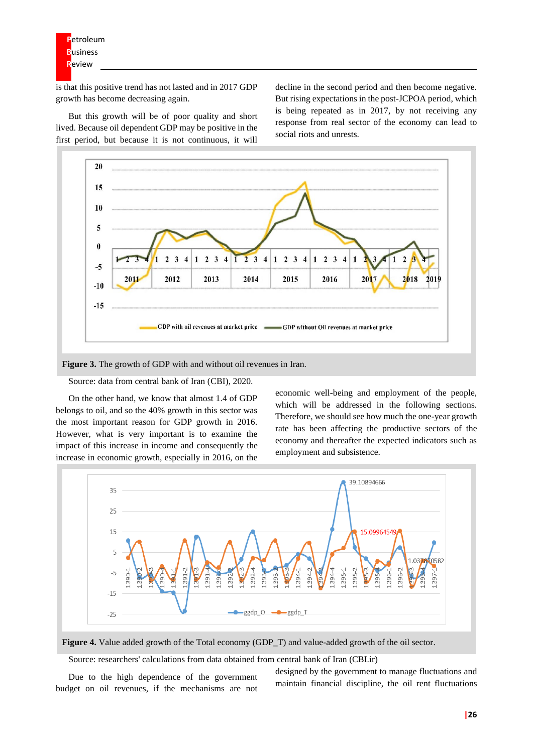is that this positive trend has not lasted and in 2017 GDP growth has become decreasing again.

But this growth will be of poor quality and short lived. Because oil dependent GDP may be positive in the first period, but because it is not continuous, it will

decline in the second period and then become negative. But rising expectations in the post-JCPOA period, which is being repeated as in 2017, by not receiving any response from real sector of the economy can lead to social riots and unrests.



**Figure 3.** The growth of GDP with and without oil revenues in Iran.

Source: data from central bank of Iran (CBI), 2020.

On the other hand, we know that almost 1.4 of GDP belongs to oil, and so the 40% growth in this sector was the most important reason for GDP growth in 2016. However, what is very important is to examine the impact of this increase in income and consequently the increase in economic growth, especially in 2016, on the

economic well-being and employment of the people, which will be addressed in the following sections. Therefore, we should see how much the one-year growth rate has been affecting the productive sectors of the economy and thereafter the expected indicators such as employment and subsistence.





Source: researchers' calculations from data obtained from central bank of Iran (CBI.ir)

Due to the high dependence of the government budget on oil revenues, if the mechanisms are not designed by the government to manage fluctuations and maintain financial discipline, the oil rent fluctuations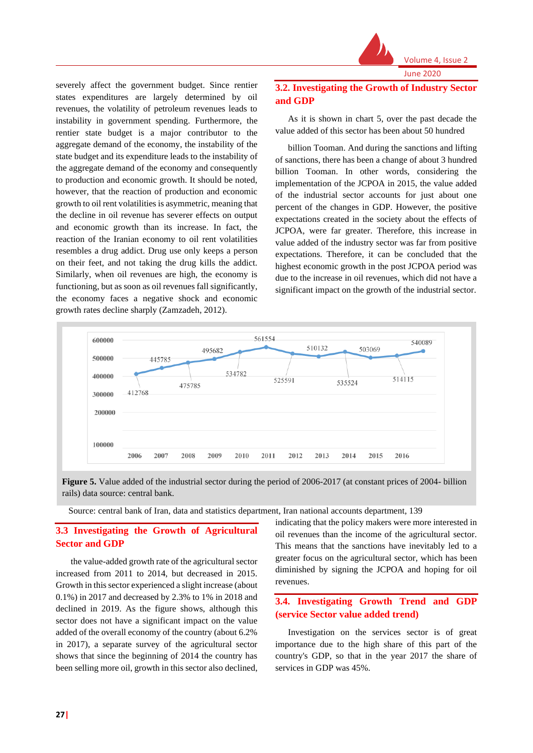

severely affect the government budget. Since rentier states expenditures are largely determined by oil revenues, the volatility of petroleum revenues leads to instability in government spending. Furthermore, the rentier state budget is a major contributor to the aggregate demand of the economy, the instability of the state budget and its expenditure leads to the instability of the aggregate demand of the economy and consequently to production and economic growth. It should be noted, however, that the reaction of production and economic growth to oil rent volatilities is asymmetric, meaning that the decline in oil revenue has severer effects on output and economic growth than its increase. In fact, the reaction of the Iranian economy to oil rent volatilities resembles a drug addict. Drug use only keeps a person on their feet, and not taking the drug kills the addict. Similarly, when oil revenues are high, the economy is functioning, but as soon as oil revenues fall significantly, the economy faces a negative shock and economic growth rates decline sharply (Zamzadeh, 2012).

# **3.2. Investigating the Growth of Industry Sector and GDP**

As it is shown in chart 5, over the past decade the value added of this sector has been about 50 hundred

billion Tooman. And during the sanctions and lifting of sanctions, there has been a change of about 3 hundred billion Tooman. In other words, considering the implementation of the JCPOA in 2015, the value added of the industrial sector accounts for just about one percent of the changes in GDP. However, the positive expectations created in the society about the effects of JCPOA, were far greater. Therefore, this increase in value added of the industry sector was far from positive expectations. Therefore, it can be concluded that the highest economic growth in the post JCPOA period was due to the increase in oil revenues, which did not have a significant impact on the growth of the industrial sector.



**Figure 5.** Value added of the industrial sector during the period of 2006-2017 (at constant prices of 2004- billion rails) data source: central bank.

Source: central bank of Iran, data and statistics department, Iran national accounts department, 139

# **3.3 Investigating the Growth of Agricultural Sector and GDP**

the value-added growth rate of the agricultural sector increased from 2011 to 2014, but decreased in 2015. Growth in this sector experienced a slight increase (about 0.1%) in 2017 and decreased by 2.3% to 1% in 2018 and declined in 2019. As the figure shows, although this sector does not have a significant impact on the value added of the overall economy of the country (about 6.2% in 2017), a separate survey of the agricultural sector shows that since the beginning of 2014 the country has been selling more oil, growth in this sector also declined,

indicating that the policy makers were more interested in oil revenues than the income of the agricultural sector. This means that the sanctions have inevitably led to a greater focus on the agricultural sector, which has been diminished by signing the JCPOA and hoping for oil revenues.

# **3.4. Investigating Growth Trend and GDP (service Sector value added trend)**

Investigation on the services sector is of great importance due to the high share of this part of the country's GDP, so that in the year 2017 the share of services in GDP was 45%.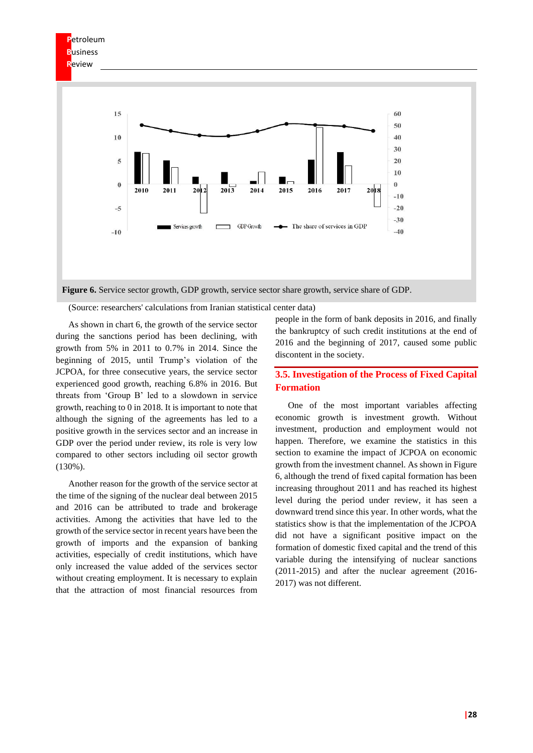

(Source: researchers' calculations from Iranian statistical center data)

As shown in chart 6, the growth of the service sector during the sanctions period has been declining, with growth from 5% in 2011 to 0.7% in 2014. Since the beginning of 2015, until Trump's violation of the JCPOA, for three consecutive years, the service sector experienced good growth, reaching 6.8% in 2016. But threats from 'Group B' led to a slowdown in service growth, reaching to 0 in 2018. It is important to note that although the signing of the agreements has led to a positive growth in the services sector and an increase in GDP over the period under review, its role is very low compared to other sectors including oil sector growth (130%).

Another reason for the growth of the service sector at the time of the signing of the nuclear deal between 2015 and 2016 can be attributed to trade and brokerage activities. Among the activities that have led to the growth of the service sector in recent years have been the growth of imports and the expansion of banking activities, especially of credit institutions, which have only increased the value added of the services sector without creating employment. It is necessary to explain that the attraction of most financial resources from

people in the form of bank deposits in 2016, and finally the bankruptcy of such credit institutions at the end of 2016 and the beginning of 2017, caused some public discontent in the society.

# **3.5. Investigation of the Process of Fixed Capital Formation**

One of the most important variables affecting economic growth is investment growth. Without investment, production and employment would not happen. Therefore, we examine the statistics in this section to examine the impact of JCPOA on economic growth from the investment channel. As shown in Figure 6, although the trend of fixed capital formation has been increasing throughout 2011 and has reached its highest level during the period under review, it has seen a downward trend since this year. In other words, what the statistics show is that the implementation of the JCPOA did not have a significant positive impact on the formation of domestic fixed capital and the trend of this variable during the intensifying of nuclear sanctions (2011-2015) and after the nuclear agreement (2016- 2017) was not different.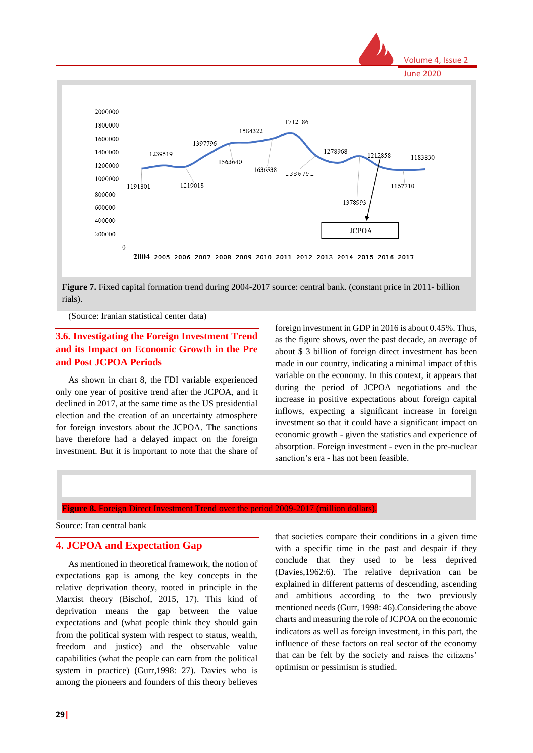

Figure 7. Fixed capital formation trend during 2004-2017 source: central bank. (constant price in 2011- billion rials).

(Source: Iranian statistical center data)

# **3.6. Investigating the Foreign Investment Trend and its Impact on Economic Growth in the Pre and Post JCPOA Periods**

As shown in chart 8, the FDI variable experienced only one year of positive trend after the JCPOA, and it declined in 2017, at the same time as the US presidential election and the creation of an uncertainty atmosphere for foreign investors about the JCPOA. The sanctions have therefore had a delayed impact on the foreign investment. But it is important to note that the share of foreign investment in GDP in 2016 is about 0.45%. Thus, as the figure shows, over the past decade, an average of about \$ 3 billion of foreign direct investment has been made in our country, indicating a minimal impact of this variable on the economy. In this context, it appears that during the period of JCPOA negotiations and the increase in positive expectations about foreign capital inflows, expecting a significant increase in foreign investment so that it could have a significant impact on economic growth - given the statistics and experience of absorption. Foreign investment - even in the pre-nuclear sanction's era - has not been feasible.

**Figure 8.** Foreign Direct Investment Trend over the period 2009-2017 (million dollars).

Source: Iran central bank

#### **4. JCPOA and Expectation Gap**

As mentioned in theoretical framework, the notion of expectations gap is among the key concepts in the relative deprivation theory, rooted in principle in the Marxist theory (Bischof, 2015, 17). This kind of deprivation means the gap between the value expectations and (what people think they should gain from the political system with respect to status, wealth, freedom and justice) and the observable value capabilities (what the people can earn from the political system in practice) (Gurr,1998: 27). Davies who is among the pioneers and founders of this theory believes

that societies compare their conditions in a given time with a specific time in the past and despair if they conclude that they used to be less deprived (Davies,1962:6). The relative deprivation can be explained in different patterns of descending, ascending and ambitious according to the two previously mentioned needs (Gurr, 1998: 46).Considering the above charts and measuring the role of JCPOA on the economic indicators as well as foreign investment, in this part, the influence of these factors on real sector of the economy that can be felt by the society and raises the citizens' optimism or pessimism is studied.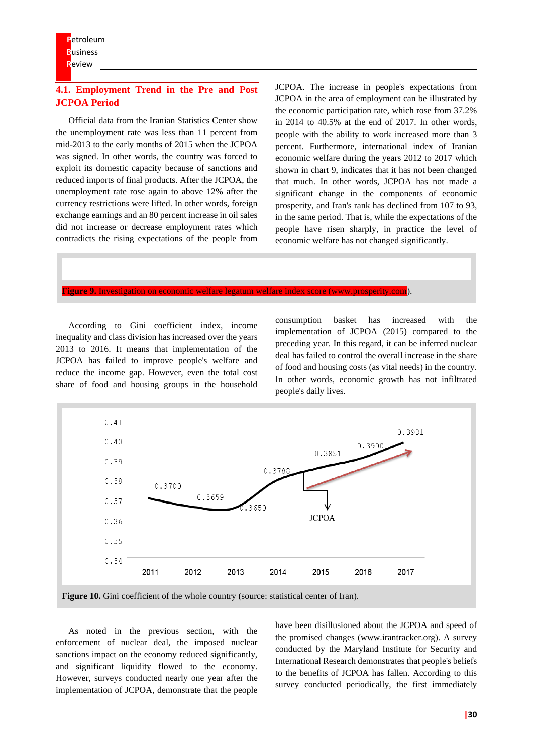# **4.1. Employment Trend in the Pre and Post JCPOA Period**

Official data from the Iranian Statistics Center show the unemployment rate was less than 11 percent from mid-2013 to the early months of 2015 when the JCPOA was signed. In other words, the country was forced to exploit its domestic capacity because of sanctions and reduced imports of final products. After the JCPOA, the unemployment rate rose again to above 12% after the currency restrictions were lifted. In other words, foreign exchange earnings and an 80 percent increase in oil sales did not increase or decrease employment rates which contradicts the rising expectations of the people from

JCPOA. The increase in people's expectations from JCPOA in the area of employment can be illustrated by the economic participation rate, which rose from 37.2% in 2014 to 40.5% at the end of 2017. In other words, people with the ability to work increased more than 3 percent. Furthermore, international index of Iranian economic welfare during the years 2012 to 2017 which shown in chart 9, indicates that it has not been changed that much. In other words, JCPOA has not made a significant change in the components of economic prosperity, and Iran's rank has declined from 107 to 93, in the same period. That is, while the expectations of the people have risen sharply, in practice the level of economic welfare has not changed significantly.

**Figure 9.** Investigation on economic welfare legatum welfare index score (www.prosperity.com).

According to Gini coefficient index, income inequality and class division has increased over the years 2013 to 2016. It means that implementation of the JCPOA has failed to improve people's welfare and reduce the income gap. However, even the total cost share of food and housing groups in the household consumption basket has increased with the implementation of JCPOA (2015) compared to the preceding year. In this regard, it can be inferred nuclear deal has failed to control the overall increase in the share of food and housing costs (as vital needs) in the country. In other words, economic growth has not infiltrated people's daily lives.



As noted in the previous section, with the enforcement of nuclear deal, the imposed nuclear sanctions impact on the economy reduced significantly, and significant liquidity flowed to the economy. However, surveys conducted nearly one year after the implementation of JCPOA, demonstrate that the people

have been disillusioned about the JCPOA and speed of the promised changes (www.irantracker.org). A survey conducted by the Maryland Institute for Security and International Research demonstrates that people's beliefs to the benefits of JCPOA has fallen. According to this survey conducted periodically, the first immediately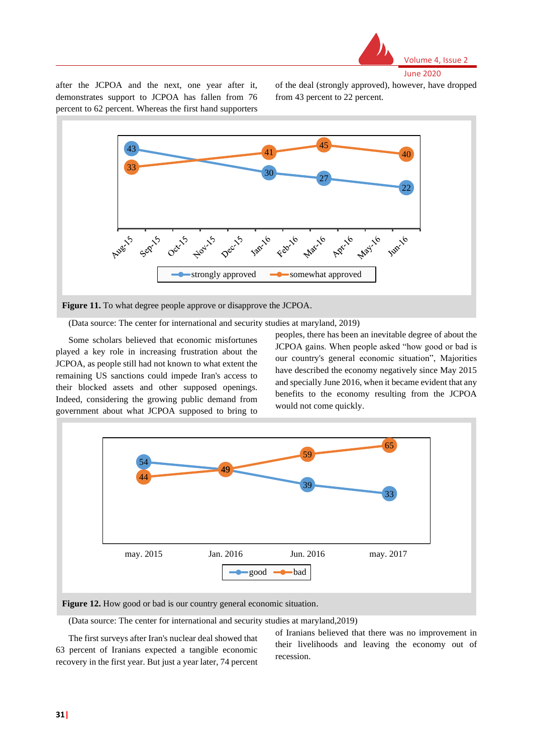

after the JCPOA and the next, one year after it, demonstrates support to JCPOA has fallen from 76 percent to 62 percent. Whereas the first hand supporters

of the deal (strongly approved), however, have dropped from 43 percent to 22 percent.



(Data source: The center for international and security studies at maryland, 2019)

Some scholars believed that economic misfortunes played a key role in increasing frustration about the JCPOA, as people still had not known to what extent the remaining US sanctions could impede Iran's access to their blocked assets and other supposed openings. Indeed, considering the growing public demand from government about what JCPOA supposed to bring to

peoples, there has been an inevitable degree of about the JCPOA gains. When people asked "how good or bad is our country's general economic situation", Majorities have described the economy negatively since May 2015 and specially June 2016, when it became evident that any benefits to the economy resulting from the JCPOA would not come quickly.



(Data source: The center for international and security studies at maryland,2019)

The first surveys after Iran's nuclear deal showed that 63 percent of Iranians expected a tangible economic recovery in the first year. But just a year later, 74 percent

of Iranians believed that there was no improvement in their livelihoods and leaving the economy out of recession.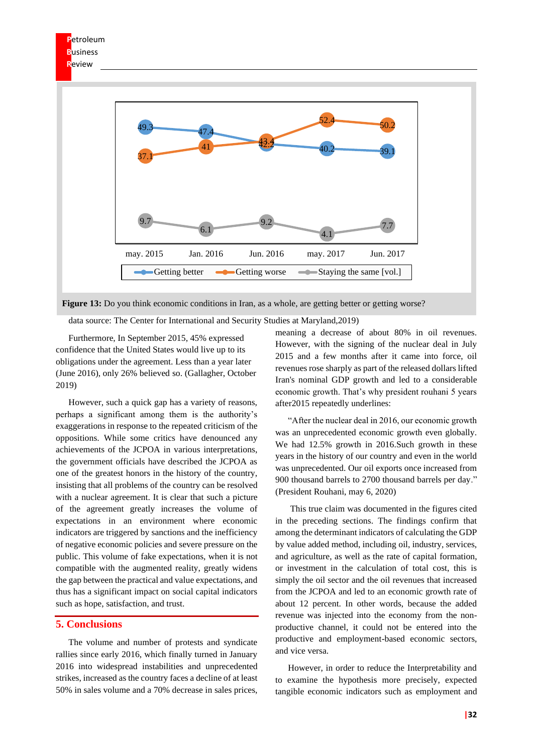

**Figure 13:** Do you think economic conditions in Iran, as a whole, are getting better or getting worse?

data source: The Center for International and Security Studies at Maryland,2019)

Furthermore, In September 2015, 45% expressed confidence that the United States would live up to its obligations under the agreement. Less than a year later (June 2016), only 26% believed so. (Gallagher, October 2019)

However, such a quick gap has a variety of reasons, perhaps a significant among them is the authority's exaggerations in response to the repeated criticism of the oppositions. While some critics have denounced any achievements of the JCPOA in various interpretations, the government officials have described the JCPOA as one of the greatest honors in the history of the country, insisting that all problems of the country can be resolved with a nuclear agreement. It is clear that such a picture of the agreement greatly increases the volume of expectations in an environment where economic indicators are triggered by sanctions and the inefficiency of negative economic policies and severe pressure on the public. This volume of fake expectations, when it is not compatible with the augmented reality, greatly widens the gap between the practical and value expectations, and thus has a significant impact on social capital indicators such as hope, satisfaction, and trust.

#### **5. Conclusions**

The volume and number of protests and syndicate rallies since early 2016, which finally turned in January 2016 into widespread instabilities and unprecedented strikes, increased as the country faces a decline of at least 50% in sales volume and a 70% decrease in sales prices,

meaning a decrease of about 80% in oil revenues. However, with the signing of the nuclear deal in July 2015 and a few months after it came into force, oil revenues rose sharply as part of the released dollars lifted Iran's nominal GDP growth and led to a considerable economic growth. That's why president rouhani 5 years after2015 repeatedly underlines:

"After the nuclear deal in 2016, our economic growth was an unprecedented economic growth even globally. We had 12.5% growth in 2016.Such growth in these years in the history of our country and even in the world was unprecedented. Our oil exports once increased from 900 thousand barrels to 2700 thousand barrels per day." (President Rouhani, may 6, 2020)

This true claim was documented in the figures cited in the preceding sections. The findings confirm that among the determinant indicators of calculating the GDP by value added method, including oil, industry, services, and agriculture, as well as the rate of capital formation, or investment in the calculation of total cost, this is simply the oil sector and the oil revenues that increased from the JCPOA and led to an economic growth rate of about 12 percent. In other words, because the added revenue was injected into the economy from the nonproductive channel, it could not be entered into the productive and employment-based economic sectors, and vice versa.

However, in order to reduce the Interpretability and to examine the hypothesis more precisely, expected tangible economic indicators such as employment and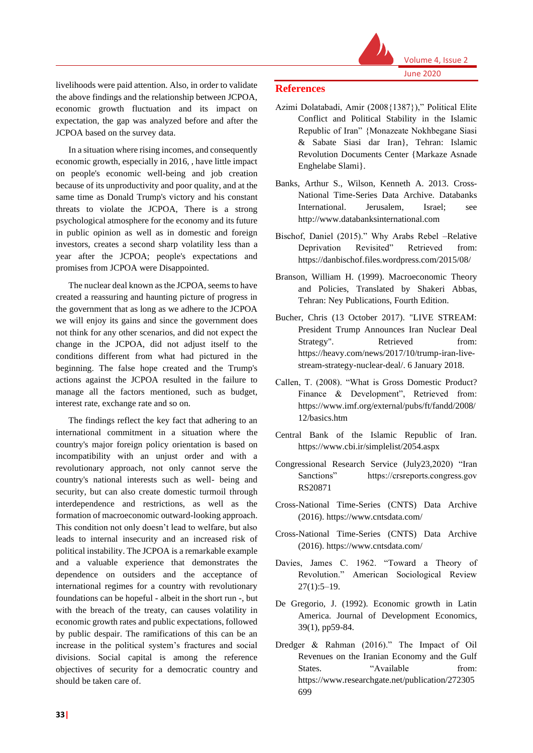

livelihoods were paid attention. Also, in order to validate the above findings and the relationship between JCPOA, economic growth fluctuation and its impact on expectation, the gap was analyzed before and after the JCPOA based on the survey data.

In a situation where rising incomes, and consequently economic growth, especially in 2016, , have little impact on people's economic well-being and job creation because of its unproductivity and poor quality, and at the same time as Donald Trump's victory and his constant threats to violate the JCPOA, There is a strong psychological atmosphere for the economy and its future in public opinion as well as in domestic and foreign investors, creates a second sharp volatility less than a year after the JCPOA; people's expectations and promises from JCPOA were Disappointed.

The nuclear deal known as the JCPOA, seems to have created a reassuring and haunting picture of progress in the government that as long as we adhere to the JCPOA we will enjoy its gains and since the government does not think for any other scenarios, and did not expect the change in the JCPOA, did not adjust itself to the conditions different from what had pictured in the beginning. The false hope created and the Trump's actions against the JCPOA resulted in the failure to manage all the factors mentioned, such as budget, interest rate, exchange rate and so on.

The findings reflect the key fact that adhering to an international commitment in a situation where the country's major foreign policy orientation is based on incompatibility with an unjust order and with a revolutionary approach, not only cannot serve the country's national interests such as well- being and security, but can also create domestic turmoil through interdependence and restrictions, as well as the formation of macroeconomic outward-looking approach. This condition not only doesn't lead to welfare, but also leads to internal insecurity and an increased risk of political instability. The JCPOA is a remarkable example and a valuable experience that demonstrates the dependence on outsiders and the acceptance of international regimes for a country with revolutionary foundations can be hopeful - albeit in the short run -, but with the breach of the treaty, can causes volatility in economic growth rates and public expectations, followed by public despair. The ramifications of this can be an increase in the political system's fractures and social divisions. Social capital is among the reference objectives of security for a democratic country and should be taken care of.

#### **References**

- Azimi Dolatabadi, Amir (2008{1387})," Political Elite Conflict and Political Stability in the Islamic Republic of Iran" {Monazeate Nokhbegane Siasi & Sabate Siasi dar Iran}, Tehran: Islamic Revolution Documents Center {Markaze Asnade Enghelabe Slami}.
- Banks, Arthur S., Wilson, Kenneth A. 2013. Cross-National Time-Series Data Archive. Databanks International. Jerusalem, Israel; see http://www.databanksinternational.com
- Bischof, Daniel (2015)." Why Arabs Rebel –Relative Deprivation Revisited" Retrieved from: https://danbischof.files.wordpress.com/2015/08/
- Branson, William H. (1999). Macroeconomic Theory and Policies, Translated by Shakeri Abbas, Tehran: Ney Publications, Fourth Edition.
- Bucher, Chris (13 October 2017). "LIVE STREAM: President Trump Announces Iran Nuclear Deal Strategy". Retrieved from: https://heavy.com/news/2017/10/trump-iran-livestream-strategy-nuclear-deal/. 6 January 2018.
- Callen, T. (2008). "What is Gross Domestic Product? Finance & Development", Retrieved from: https://www.imf.org/external/pubs/ft/fandd/2008/ 12/basics.htm
- Central Bank of the Islamic Republic of Iran. https://www.cbi.ir/simplelist/2054.aspx
- Congressional Research Service (July23,2020) "Iran Sanctions" https://crsreports.congress.gov RS20871
- Cross-National Time-Series (CNTS) Data Archive (2016). https://www.cntsdata.com/
- Cross-National Time-Series (CNTS) Data Archive (2016). https://www.cntsdata.com/
- Davies, James C. 1962. "Toward a Theory of Revolution." American Sociological Review 27(1):5–19.
- De Gregorio, J. (1992). Economic growth in Latin America. Journal of Development Economics, 39(1), pp59-84.
- Dredger & Rahman (2016)." The Impact of Oil Revenues on the Iranian Economy and the Gulf States. "Available from: https://www.researchgate.net/publication/272305 699